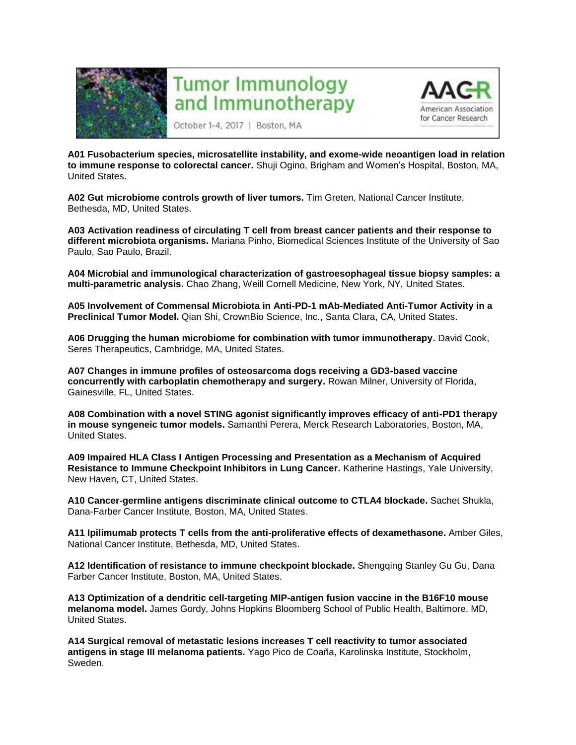

## **Tumor Immunology** and Immunotherapy



October 1-4, 2017 | Boston, MA

**A01 Fusobacterium species, microsatellite instability, and exome-wide neoantigen load in relation to immune response to colorectal cancer.** Shuji Ogino, Brigham and Women's Hospital, Boston, MA, United States.

**A02 Gut microbiome controls growth of liver tumors.** Tim Greten, National Cancer Institute, Bethesda, MD, United States.

**A03 Activation readiness of circulating T cell from breast cancer patients and their response to different microbiota organisms.** Mariana Pinho, Biomedical Sciences Institute of the University of Sao Paulo, Sao Paulo, Brazil.

**A04 Microbial and immunological characterization of gastroesophageal tissue biopsy samples: a multi-parametric analysis.** Chao Zhang, Weill Cornell Medicine, New York, NY, United States.

**A05 Involvement of Commensal Microbiota in Anti-PD-1 mAb-Mediated Anti-Tumor Activity in a Preclinical Tumor Model.** Qian Shi, CrownBio Science, Inc., Santa Clara, CA, United States.

**A06 Drugging the human microbiome for combination with tumor immunotherapy.** David Cook, Seres Therapeutics, Cambridge, MA, United States.

**A07 Changes in immune profiles of osteosarcoma dogs receiving a GD3-based vaccine concurrently with carboplatin chemotherapy and surgery.** Rowan Milner, University of Florida, Gainesville, FL, United States.

**A08 Combination with a novel STING agonist significantly improves efficacy of anti-PD1 therapy in mouse syngeneic tumor models.** Samanthi Perera, Merck Research Laboratories, Boston, MA, United States.

**A09 Impaired HLA Class I Antigen Processing and Presentation as a Mechanism of Acquired Resistance to Immune Checkpoint Inhibitors in Lung Cancer.** Katherine Hastings, Yale University, New Haven, CT, United States.

**A10 Cancer-germline antigens discriminate clinical outcome to CTLA4 blockade.** Sachet Shukla, Dana-Farber Cancer Institute, Boston, MA, United States.

**A11 Ipilimumab protects T cells from the anti-proliferative effects of dexamethasone.** Amber Giles, National Cancer Institute, Bethesda, MD, United States.

**A12 Identification of resistance to immune checkpoint blockade.** Shengqing Stanley Gu Gu, Dana Farber Cancer Institute, Boston, MA, United States.

**A13 Optimization of a dendritic cell-targeting MIP-antigen fusion vaccine in the B16F10 mouse melanoma model.** James Gordy, Johns Hopkins Bloomberg School of Public Health, Baltimore, MD, United States.

**A14 Surgical removal of metastatic lesions increases T cell reactivity to tumor associated antigens in stage III melanoma patients.** Yago Pico de Coaña, Karolinska Institute, Stockholm, Sweden.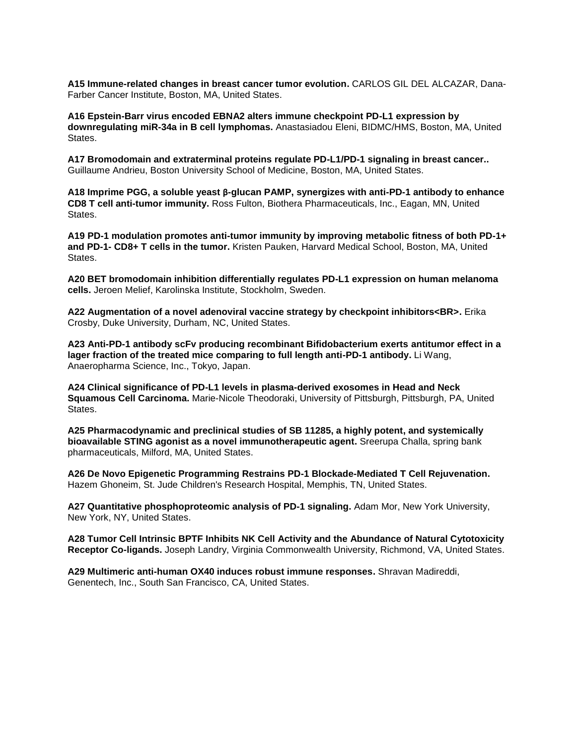**A15 Immune-related changes in breast cancer tumor evolution.** CARLOS GIL DEL ALCAZAR, Dana-Farber Cancer Institute, Boston, MA, United States.

**A16 Epstein-Barr virus encoded EBNA2 alters immune checkpoint PD-L1 expression by downregulating miR-34a in B cell lymphomas.** Anastasiadou Eleni, BIDMC/HMS, Boston, MA, United States.

**A17 Bromodomain and extraterminal proteins regulate PD-L1/PD-1 signaling in breast cancer..**  Guillaume Andrieu, Boston University School of Medicine, Boston, MA, United States.

**A18 Imprime PGG, a soluble yeast β-glucan PAMP, synergizes with anti-PD-1 antibody to enhance CD8 T cell anti-tumor immunity.** Ross Fulton, Biothera Pharmaceuticals, Inc., Eagan, MN, United States.

**A19 PD-1 modulation promotes anti-tumor immunity by improving metabolic fitness of both PD-1+ and PD-1- CD8+ T cells in the tumor.** Kristen Pauken, Harvard Medical School, Boston, MA, United States.

**A20 BET bromodomain inhibition differentially regulates PD-L1 expression on human melanoma cells.** Jeroen Melief, Karolinska Institute, Stockholm, Sweden.

**A22 Augmentation of a novel adenoviral vaccine strategy by checkpoint inhibitors<BR>.** Erika Crosby, Duke University, Durham, NC, United States.

**A23 Anti-PD-1 antibody scFv producing recombinant Bifidobacterium exerts antitumor effect in a lager fraction of the treated mice comparing to full length anti-PD-1 antibody.** Li Wang, Anaeropharma Science, Inc., Tokyo, Japan.

**A24 Clinical significance of PD-L1 levels in plasma-derived exosomes in Head and Neck Squamous Cell Carcinoma.** Marie-Nicole Theodoraki, University of Pittsburgh, Pittsburgh, PA, United States.

**A25 Pharmacodynamic and preclinical studies of SB 11285, a highly potent, and systemically bioavailable STING agonist as a novel immunotherapeutic agent.** Sreerupa Challa, spring bank pharmaceuticals, Milford, MA, United States.

**A26 De Novo Epigenetic Programming Restrains PD-1 Blockade-Mediated T Cell Rejuvenation.**  Hazem Ghoneim, St. Jude Children's Research Hospital, Memphis, TN, United States.

**A27 Quantitative phosphoproteomic analysis of PD-1 signaling.** Adam Mor, New York University, New York, NY, United States.

**A28 Tumor Cell Intrinsic BPTF Inhibits NK Cell Activity and the Abundance of Natural Cytotoxicity Receptor Co-ligands.** Joseph Landry, Virginia Commonwealth University, Richmond, VA, United States.

**A29 Multimeric anti-human OX40 induces robust immune responses.** Shravan Madireddi, Genentech, Inc., South San Francisco, CA, United States.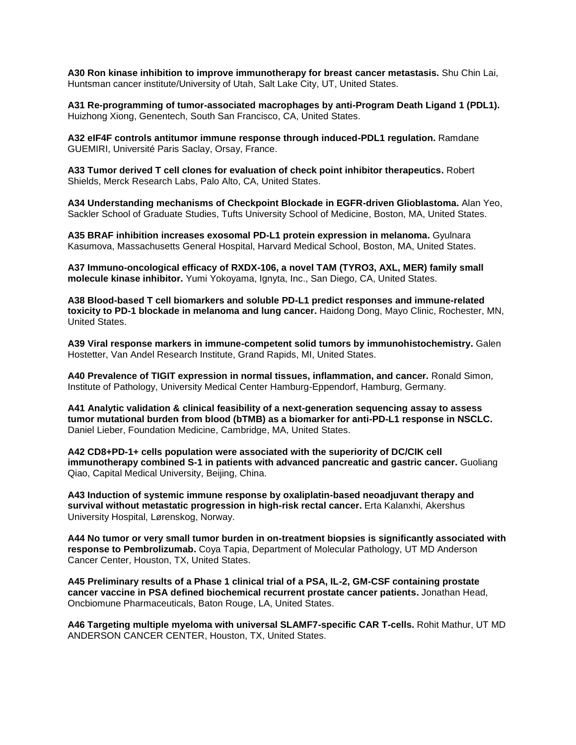**A30 Ron kinase inhibition to improve immunotherapy for breast cancer metastasis.** Shu Chin Lai, Huntsman cancer institute/University of Utah, Salt Lake City, UT, United States.

**A31 Re-programming of tumor-associated macrophages by anti-Program Death Ligand 1 (PDL1).**  Huizhong Xiong, Genentech, South San Francisco, CA, United States.

**A32 eIF4F controls antitumor immune response through induced-PDL1 regulation.** Ramdane GUEMIRI, Université Paris Saclay, Orsay, France.

**A33 Tumor derived T cell clones for evaluation of check point inhibitor therapeutics.** Robert Shields, Merck Research Labs, Palo Alto, CA, United States.

**A34 Understanding mechanisms of Checkpoint Blockade in EGFR-driven Glioblastoma.** Alan Yeo, Sackler School of Graduate Studies, Tufts University School of Medicine, Boston, MA, United States.

**A35 BRAF inhibition increases exosomal PD-L1 protein expression in melanoma.** Gyulnara Kasumova, Massachusetts General Hospital, Harvard Medical School, Boston, MA, United States.

**A37 Immuno-oncological efficacy of RXDX-106, a novel TAM (TYRO3, AXL, MER) family small molecule kinase inhibitor.** Yumi Yokoyama, Ignyta, Inc., San Diego, CA, United States.

**A38 Blood-based T cell biomarkers and soluble PD-L1 predict responses and immune-related toxicity to PD-1 blockade in melanoma and lung cancer.** Haidong Dong, Mayo Clinic, Rochester, MN, United States.

**A39 Viral response markers in immune-competent solid tumors by immunohistochemistry.** Galen Hostetter, Van Andel Research Institute, Grand Rapids, MI, United States.

**A40 Prevalence of TIGIT expression in normal tissues, inflammation, and cancer.** Ronald Simon, Institute of Pathology, University Medical Center Hamburg-Eppendorf, Hamburg, Germany.

**A41 Analytic validation & clinical feasibility of a next-generation sequencing assay to assess tumor mutational burden from blood (bTMB) as a biomarker for anti-PD-L1 response in NSCLC.**  Daniel Lieber, Foundation Medicine, Cambridge, MA, United States.

**A42 CD8+PD-1+ cells population were associated with the superiority of DC/CIK cell immunotherapy combined S-1 in patients with advanced pancreatic and gastric cancer.** Guoliang Qiao, Capital Medical University, Beijing, China.

**A43 Induction of systemic immune response by oxaliplatin-based neoadjuvant therapy and survival without metastatic progression in high-risk rectal cancer.** Erta Kalanxhi, Akershus University Hospital, Lørenskog, Norway.

**A44 No tumor or very small tumor burden in on-treatment biopsies is significantly associated with response to Pembrolizumab.** Coya Tapia, Department of Molecular Pathology, UT MD Anderson Cancer Center, Houston, TX, United States.

**A45 Preliminary results of a Phase 1 clinical trial of a PSA, IL-2, GM-CSF containing prostate cancer vaccine in PSA defined biochemical recurrent prostate cancer patients.** Jonathan Head, Oncbiomune Pharmaceuticals, Baton Rouge, LA, United States.

**A46 Targeting multiple myeloma with universal SLAMF7-specific CAR T-cells.** Rohit Mathur, UT MD ANDERSON CANCER CENTER, Houston, TX, United States.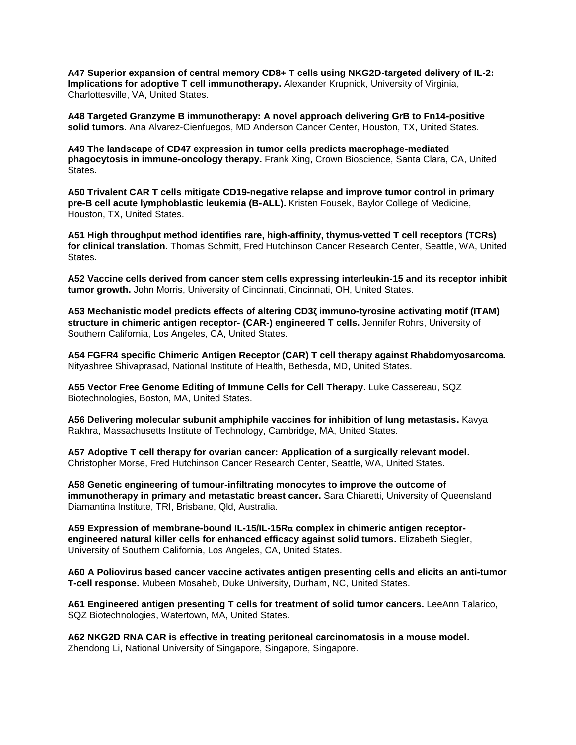**A47 Superior expansion of central memory CD8+ T cells using NKG2D-targeted delivery of IL-2: Implications for adoptive T cell immunotherapy.** Alexander Krupnick, University of Virginia, Charlottesville, VA, United States.

**A48 Targeted Granzyme B immunotherapy: A novel approach delivering GrB to Fn14-positive solid tumors.** Ana Alvarez-Cienfuegos, MD Anderson Cancer Center, Houston, TX, United States.

**A49 The landscape of CD47 expression in tumor cells predicts macrophage-mediated phagocytosis in immune-oncology therapy.** Frank Xing, Crown Bioscience, Santa Clara, CA, United States.

**A50 Trivalent CAR T cells mitigate CD19-negative relapse and improve tumor control in primary pre-B cell acute lymphoblastic leukemia (B-ALL).** Kristen Fousek, Baylor College of Medicine, Houston, TX, United States.

**A51 High throughput method identifies rare, high-affinity, thymus-vetted T cell receptors (TCRs) for clinical translation.** Thomas Schmitt, Fred Hutchinson Cancer Research Center, Seattle, WA, United States.

**A52 Vaccine cells derived from cancer stem cells expressing interleukin-15 and its receptor inhibit tumor growth.** John Morris, University of Cincinnati, Cincinnati, OH, United States.

**A53 Mechanistic model predicts effects of altering CD3ζ immuno-tyrosine activating motif (ITAM) structure in chimeric antigen receptor- (CAR-) engineered T cells.** Jennifer Rohrs, University of Southern California, Los Angeles, CA, United States.

**A54 FGFR4 specific Chimeric Antigen Receptor (CAR) T cell therapy against Rhabdomyosarcoma.**  Nityashree Shivaprasad, National Institute of Health, Bethesda, MD, United States.

**A55 Vector Free Genome Editing of Immune Cells for Cell Therapy.** Luke Cassereau, SQZ Biotechnologies, Boston, MA, United States.

**A56 Delivering molecular subunit amphiphile vaccines for inhibition of lung metastasis.** Kavya Rakhra, Massachusetts Institute of Technology, Cambridge, MA, United States.

**A57 Adoptive T cell therapy for ovarian cancer: Application of a surgically relevant model.**  Christopher Morse, Fred Hutchinson Cancer Research Center, Seattle, WA, United States.

**A58 Genetic engineering of tumour-infiltrating monocytes to improve the outcome of immunotherapy in primary and metastatic breast cancer.** Sara Chiaretti, University of Queensland Diamantina Institute, TRI, Brisbane, Qld, Australia.

**A59 Expression of membrane-bound IL-15/IL-15Rα complex in chimeric antigen receptorengineered natural killer cells for enhanced efficacy against solid tumors.** Elizabeth Siegler, University of Southern California, Los Angeles, CA, United States.

**A60 A Poliovirus based cancer vaccine activates antigen presenting cells and elicits an anti-tumor T-cell response.** Mubeen Mosaheb, Duke University, Durham, NC, United States.

**A61 Engineered antigen presenting T cells for treatment of solid tumor cancers.** LeeAnn Talarico, SQZ Biotechnologies, Watertown, MA, United States.

**A62 NKG2D RNA CAR is effective in treating peritoneal carcinomatosis in a mouse model.**  Zhendong Li, National University of Singapore, Singapore, Singapore.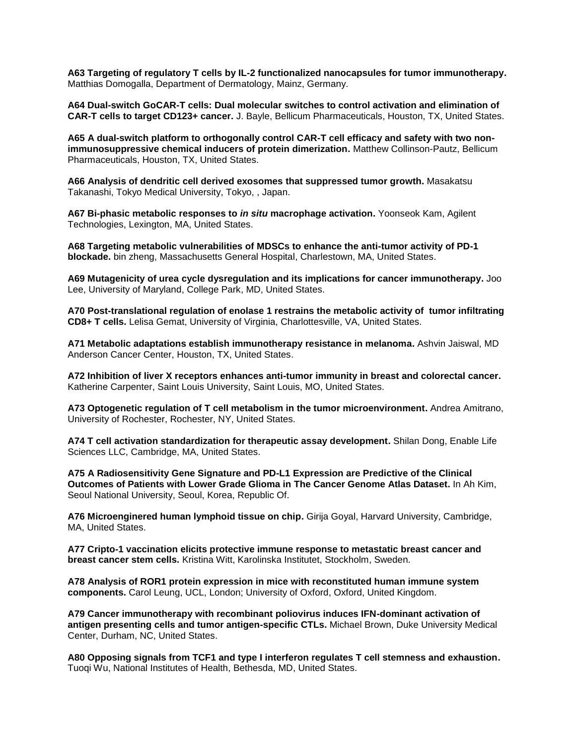**A63 Targeting of regulatory T cells by IL-2 functionalized nanocapsules for tumor immunotherapy.**  Matthias Domogalla, Department of Dermatology, Mainz, Germany.

**A64 Dual-switch GoCAR-T cells: Dual molecular switches to control activation and elimination of CAR-T cells to target CD123+ cancer.** J. Bayle, Bellicum Pharmaceuticals, Houston, TX, United States.

**A65 A dual-switch platform to orthogonally control CAR-T cell efficacy and safety with two nonimmunosuppressive chemical inducers of protein dimerization.** Matthew Collinson-Pautz, Bellicum Pharmaceuticals, Houston, TX, United States.

**A66 Analysis of dendritic cell derived exosomes that suppressed tumor growth.** Masakatsu Takanashi, Tokyo Medical University, Tokyo, , Japan.

**A67 Bi-phasic metabolic responses to** *in situ* **macrophage activation.** Yoonseok Kam, Agilent Technologies, Lexington, MA, United States.

**A68 Targeting metabolic vulnerabilities of MDSCs to enhance the anti-tumor activity of PD-1 blockade.** bin zheng, Massachusetts General Hospital, Charlestown, MA, United States.

**A69 Mutagenicity of urea cycle dysregulation and its implications for cancer immunotherapy.** Joo Lee, University of Maryland, College Park, MD, United States.

**A70 Post-translational regulation of enolase 1 restrains the metabolic activity of tumor infiltrating CD8+ T cells.** Lelisa Gemat, University of Virginia, Charlottesville, VA, United States.

**A71 Metabolic adaptations establish immunotherapy resistance in melanoma.** Ashvin Jaiswal, MD Anderson Cancer Center, Houston, TX, United States.

**A72 Inhibition of liver X receptors enhances anti-tumor immunity in breast and colorectal cancer.**  Katherine Carpenter, Saint Louis University, Saint Louis, MO, United States.

**A73 Optogenetic regulation of T cell metabolism in the tumor microenvironment.** Andrea Amitrano, University of Rochester, Rochester, NY, United States.

**A74 T cell activation standardization for therapeutic assay development.** Shilan Dong, Enable Life Sciences LLC, Cambridge, MA, United States.

**A75 A Radiosensitivity Gene Signature and PD-L1 Expression are Predictive of the Clinical Outcomes of Patients with Lower Grade Glioma in The Cancer Genome Atlas Dataset.** In Ah Kim, Seoul National University, Seoul, Korea, Republic Of.

**A76 Microenginered human lymphoid tissue on chip.** Girija Goyal, Harvard University, Cambridge, MA, United States.

**A77 Cripto-1 vaccination elicits protective immune response to metastatic breast cancer and breast cancer stem cells.** Kristina Witt, Karolinska Institutet, Stockholm, Sweden.

**A78 Analysis of ROR1 protein expression in mice with reconstituted human immune system components.** Carol Leung, UCL, London; University of Oxford, Oxford, United Kingdom.

**A79 Cancer immunotherapy with recombinant poliovirus induces IFN-dominant activation of antigen presenting cells and tumor antigen-specific CTLs.** Michael Brown, Duke University Medical Center, Durham, NC, United States.

**A80 Opposing signals from TCF1 and type I interferon regulates T cell stemness and exhaustion.**  Tuoqi Wu, National Institutes of Health, Bethesda, MD, United States.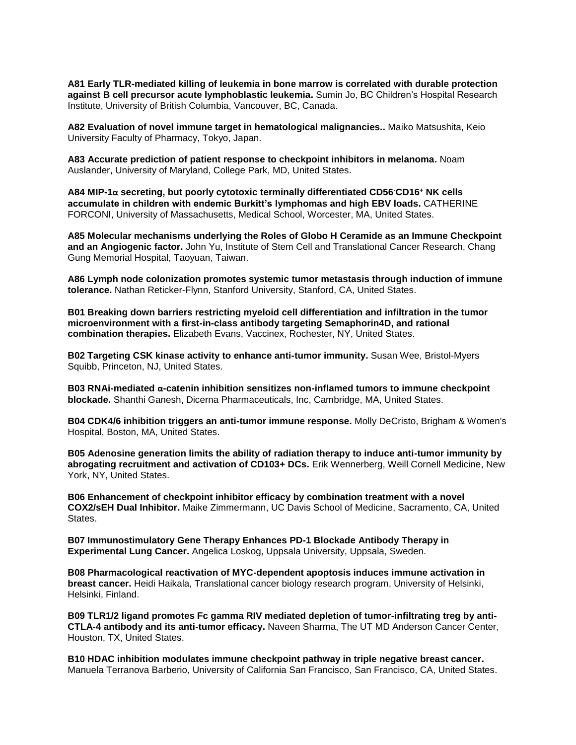**A81 Early TLR-mediated killing of leukemia in bone marrow is correlated with durable protection against B cell precursor acute lymphoblastic leukemia.** Sumin Jo, BC Children's Hospital Research Institute, University of British Columbia, Vancouver, BC, Canada.

**A82 Evaluation of novel immune target in hematological malignancies..** Maiko Matsushita, Keio University Faculty of Pharmacy, Tokyo, Japan.

**A83 Accurate prediction of patient response to checkpoint inhibitors in melanoma.** Noam Auslander, University of Maryland, College Park, MD, United States.

**A84 MIP-1α secreting, but poorly cytotoxic terminally differentiated CD56-CD16<sup>+</sup> NK cells accumulate in children with endemic Burkitt's lymphomas and high EBV loads.** CATHERINE FORCONI, University of Massachusetts, Medical School, Worcester, MA, United States.

**A85 Molecular mechanisms underlying the Roles of Globo H Ceramide as an Immune Checkpoint**  and an Angiogenic factor. John Yu, Institute of Stem Cell and Translational Cancer Research, Chang Gung Memorial Hospital, Taoyuan, Taiwan.

**A86 Lymph node colonization promotes systemic tumor metastasis through induction of immune tolerance.** Nathan Reticker-Flynn, Stanford University, Stanford, CA, United States.

**B01 Breaking down barriers restricting myeloid cell differentiation and infiltration in the tumor microenvironment with a first-in-class antibody targeting Semaphorin4D, and rational combination therapies.** Elizabeth Evans, Vaccinex, Rochester, NY, United States.

**B02 Targeting CSK kinase activity to enhance anti-tumor immunity.** Susan Wee, Bristol-Myers Squibb, Princeton, NJ, United States.

**B03 RNAi-mediated α-catenin inhibition sensitizes non-inflamed tumors to immune checkpoint blockade.** Shanthi Ganesh, Dicerna Pharmaceuticals, Inc, Cambridge, MA, United States.

**B04 CDK4/6 inhibition triggers an anti-tumor immune response.** Molly DeCristo, Brigham & Women's Hospital, Boston, MA, United States.

**B05 Adenosine generation limits the ability of radiation therapy to induce anti-tumor immunity by abrogating recruitment and activation of CD103+ DCs.** Erik Wennerberg, Weill Cornell Medicine, New York, NY, United States.

**B06 Enhancement of checkpoint inhibitor efficacy by combination treatment with a novel COX2/sEH Dual Inhibitor.** Maike Zimmermann, UC Davis School of Medicine, Sacramento, CA, United States.

**B07 Immunostimulatory Gene Therapy Enhances PD-1 Blockade Antibody Therapy in Experimental Lung Cancer.** Angelica Loskog, Uppsala University, Uppsala, Sweden.

**B08 Pharmacological reactivation of MYC-dependent apoptosis induces immune activation in breast cancer.** Heidi Haikala, Translational cancer biology research program, University of Helsinki, Helsinki, Finland.

**B09 TLR1/2 ligand promotes Fc gamma RIV mediated depletion of tumor-infiltrating treg by anti-CTLA-4 antibody and its anti-tumor efficacy.** Naveen Sharma, The UT MD Anderson Cancer Center, Houston, TX, United States.

**B10 HDAC inhibition modulates immune checkpoint pathway in triple negative breast cancer.**  Manuela Terranova Barberio, University of California San Francisco, San Francisco, CA, United States.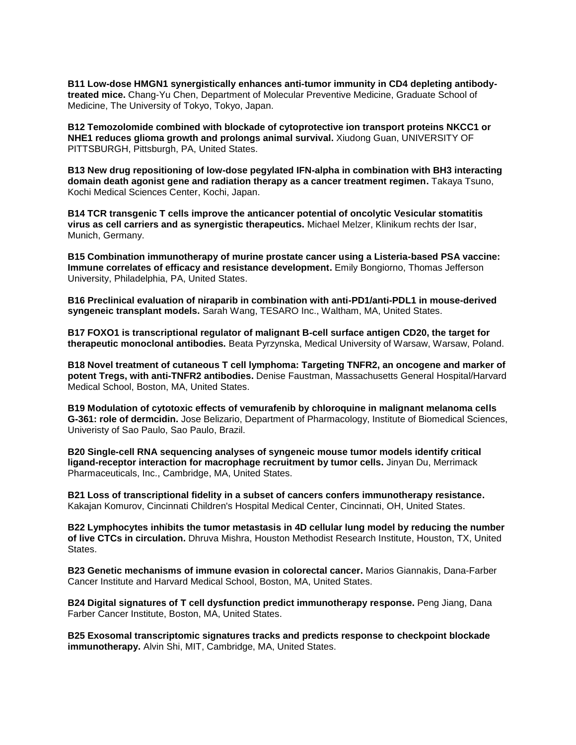**B11 Low-dose HMGN1 synergistically enhances anti-tumor immunity in CD4 depleting antibodytreated mice.** Chang-Yu Chen, Department of Molecular Preventive Medicine, Graduate School of Medicine, The University of Tokyo, Tokyo, Japan.

**B12 Temozolomide combined with blockade of cytoprotective ion transport proteins NKCC1 or NHE1 reduces glioma growth and prolongs animal survival.** Xiudong Guan, UNIVERSITY OF PITTSBURGH, Pittsburgh, PA, United States.

**B13 New drug repositioning of low-dose pegylated IFN-alpha in combination with BH3 interacting domain death agonist gene and radiation therapy as a cancer treatment regimen.** Takaya Tsuno, Kochi Medical Sciences Center, Kochi, Japan.

**B14 TCR transgenic T cells improve the anticancer potential of oncolytic Vesicular stomatitis virus as cell carriers and as synergistic therapeutics.** Michael Melzer, Klinikum rechts der Isar, Munich, Germany.

**B15 Combination immunotherapy of murine prostate cancer using a Listeria-based PSA vaccine: Immune correlates of efficacy and resistance development.** Emily Bongiorno, Thomas Jefferson University, Philadelphia, PA, United States.

**B16 Preclinical evaluation of niraparib in combination with anti-PD1/anti-PDL1 in mouse-derived syngeneic transplant models.** Sarah Wang, TESARO Inc., Waltham, MA, United States.

**B17 FOXO1 is transcriptional regulator of malignant B-cell surface antigen CD20, the target for therapeutic monoclonal antibodies.** Beata Pyrzynska, Medical University of Warsaw, Warsaw, Poland.

**B18 Novel treatment of cutaneous T cell lymphoma: Targeting TNFR2, an oncogene and marker of potent Tregs, with anti-TNFR2 antibodies.** Denise Faustman, Massachusetts General Hospital/Harvard Medical School, Boston, MA, United States.

**B19 Modulation of cytotoxic effects of vemurafenib by chloroquine in malignant melanoma cells G-361: role of dermcidin.** Jose Belizario, Department of Pharmacology, Institute of Biomedical Sciences, Univeristy of Sao Paulo, Sao Paulo, Brazil.

**B20 Single-cell RNA sequencing analyses of syngeneic mouse tumor models identify critical ligand-receptor interaction for macrophage recruitment by tumor cells.** Jinyan Du, Merrimack Pharmaceuticals, Inc., Cambridge, MA, United States.

**B21 Loss of transcriptional fidelity in a subset of cancers confers immunotherapy resistance.**  Kakajan Komurov, Cincinnati Children's Hospital Medical Center, Cincinnati, OH, United States.

**B22 Lymphocytes inhibits the tumor metastasis in 4D cellular lung model by reducing the number of live CTCs in circulation.** Dhruva Mishra, Houston Methodist Research Institute, Houston, TX, United States.

**B23 Genetic mechanisms of immune evasion in colorectal cancer.** Marios Giannakis, Dana-Farber Cancer Institute and Harvard Medical School, Boston, MA, United States.

**B24 Digital signatures of T cell dysfunction predict immunotherapy response.** Peng Jiang, Dana Farber Cancer Institute, Boston, MA, United States.

**B25 Exosomal transcriptomic signatures tracks and predicts response to checkpoint blockade immunotherapy.** Alvin Shi, MIT, Cambridge, MA, United States.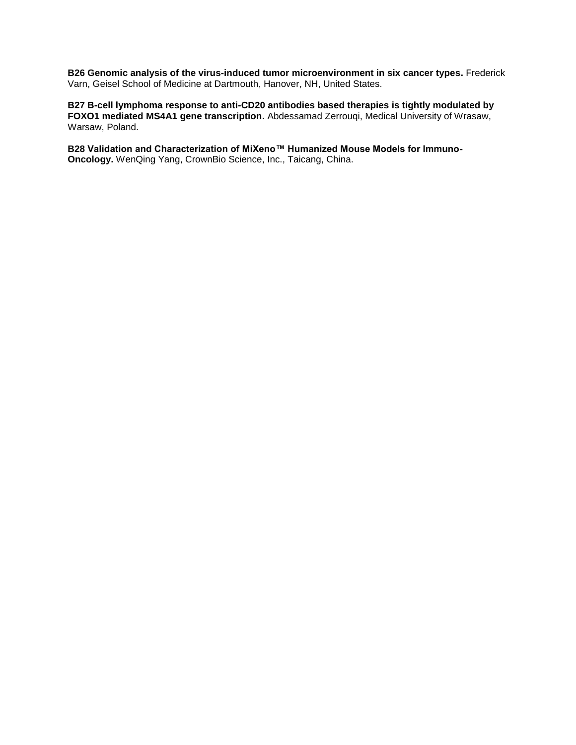**B26 Genomic analysis of the virus-induced tumor microenvironment in six cancer types.** Frederick Varn, Geisel School of Medicine at Dartmouth, Hanover, NH, United States.

**B27 B-cell lymphoma response to anti-CD20 antibodies based therapies is tightly modulated by FOXO1 mediated MS4A1 gene transcription.** Abdessamad Zerrouqi, Medical University of Wrasaw, Warsaw, Poland.

**B28 Validation and Characterization of MiXeno™ Humanized Mouse Models for Immuno-Oncology.** WenQing Yang, CrownBio Science, Inc., Taicang, China.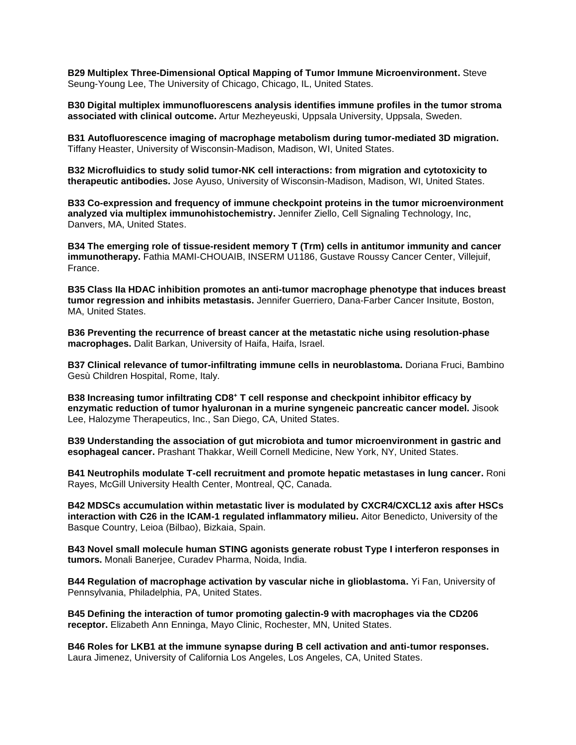**B29 Multiplex Three-Dimensional Optical Mapping of Tumor Immune Microenvironment.** Steve Seung-Young Lee, The University of Chicago, Chicago, IL, United States.

**B30 Digital multiplex immunofluorescens analysis identifies immune profiles in the tumor stroma associated with clinical outcome.** Artur Mezheyeuski, Uppsala University, Uppsala, Sweden.

**B31 Autofluorescence imaging of macrophage metabolism during tumor-mediated 3D migration.**  Tiffany Heaster, University of Wisconsin-Madison, Madison, WI, United States.

**B32 Microfluidics to study solid tumor-NK cell interactions: from migration and cytotoxicity to therapeutic antibodies.** Jose Ayuso, University of Wisconsin-Madison, Madison, WI, United States.

**B33 Co-expression and frequency of immune checkpoint proteins in the tumor microenvironment analyzed via multiplex immunohistochemistry.** Jennifer Ziello, Cell Signaling Technology, Inc, Danvers, MA, United States.

**B34 The emerging role of tissue-resident memory T (Trm) cells in antitumor immunity and cancer immunotherapy.** Fathia MAMI-CHOUAIB, INSERM U1186, Gustave Roussy Cancer Center, Villejuif, France.

**B35 Class IIa HDAC inhibition promotes an anti-tumor macrophage phenotype that induces breast tumor regression and inhibits metastasis.** Jennifer Guerriero, Dana-Farber Cancer Insitute, Boston, MA, United States.

**B36 Preventing the recurrence of breast cancer at the metastatic niche using resolution-phase macrophages.** Dalit Barkan, University of Haifa, Haifa, Israel.

**B37 Clinical relevance of tumor-infiltrating immune cells in neuroblastoma.** Doriana Fruci, Bambino Gesù Children Hospital, Rome, Italy.

**B38 Increasing tumor infiltrating CD8<sup>+</sup> T cell response and checkpoint inhibitor efficacy by enzymatic reduction of tumor hyaluronan in a murine syngeneic pancreatic cancer model.** Jisook Lee, Halozyme Therapeutics, Inc., San Diego, CA, United States.

**B39 Understanding the association of gut microbiota and tumor microenvironment in gastric and esophageal cancer.** Prashant Thakkar, Weill Cornell Medicine, New York, NY, United States.

**B41 Neutrophils modulate T-cell recruitment and promote hepatic metastases in lung cancer.** Roni Rayes, McGill University Health Center, Montreal, QC, Canada.

**B42 MDSCs accumulation within metastatic liver is modulated by CXCR4/CXCL12 axis after HSCs interaction with C26 in the ICAM-1 regulated inflammatory milieu.** Aitor Benedicto, University of the Basque Country, Leioa (Bilbao), Bizkaia, Spain.

**B43 Novel small molecule human STING agonists generate robust Type I interferon responses in tumors.** Monali Banerjee, Curadev Pharma, Noida, India.

**B44 Regulation of macrophage activation by vascular niche in glioblastoma.** Yi Fan, University of Pennsylvania, Philadelphia, PA, United States.

**B45 Defining the interaction of tumor promoting galectin-9 with macrophages via the CD206 receptor.** Elizabeth Ann Enninga, Mayo Clinic, Rochester, MN, United States.

**B46 Roles for LKB1 at the immune synapse during B cell activation and anti-tumor responses.**  Laura Jimenez, University of California Los Angeles, Los Angeles, CA, United States.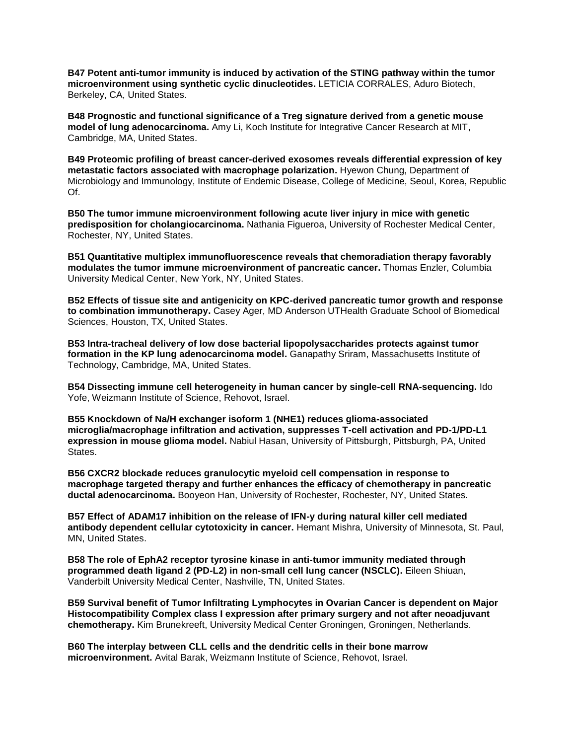**B47 Potent anti-tumor immunity is induced by activation of the STING pathway within the tumor microenvironment using synthetic cyclic dinucleotides.** LETICIA CORRALES, Aduro Biotech, Berkeley, CA, United States.

**B48 Prognostic and functional significance of a Treg signature derived from a genetic mouse model of lung adenocarcinoma.** Amy Li, Koch Institute for Integrative Cancer Research at MIT, Cambridge, MA, United States.

**B49 Proteomic profiling of breast cancer-derived exosomes reveals differential expression of key metastatic factors associated with macrophage polarization.** Hyewon Chung, Department of Microbiology and Immunology, Institute of Endemic Disease, College of Medicine, Seoul, Korea, Republic Of.

**B50 The tumor immune microenvironment following acute liver injury in mice with genetic predisposition for cholangiocarcinoma.** Nathania Figueroa, University of Rochester Medical Center, Rochester, NY, United States.

**B51 Quantitative multiplex immunofluorescence reveals that chemoradiation therapy favorably modulates the tumor immune microenvironment of pancreatic cancer.** Thomas Enzler, Columbia University Medical Center, New York, NY, United States.

**B52 Effects of tissue site and antigenicity on KPC-derived pancreatic tumor growth and response to combination immunotherapy.** Casey Ager, MD Anderson UTHealth Graduate School of Biomedical Sciences, Houston, TX, United States.

**B53 Intra-tracheal delivery of low dose bacterial lipopolysaccharides protects against tumor formation in the KP lung adenocarcinoma model.** Ganapathy Sriram, Massachusetts Institute of Technology, Cambridge, MA, United States.

**B54 Dissecting immune cell heterogeneity in human cancer by single-cell RNA-sequencing.** Ido Yofe, Weizmann Institute of Science, Rehovot, Israel.

**B55 Knockdown of Na/H exchanger isoform 1 (NHE1) reduces glioma-associated microglia/macrophage infiltration and activation, suppresses T-cell activation and PD-1/PD-L1 expression in mouse glioma model.** Nabiul Hasan, University of Pittsburgh, Pittsburgh, PA, United States.

**B56 CXCR2 blockade reduces granulocytic myeloid cell compensation in response to macrophage targeted therapy and further enhances the efficacy of chemotherapy in pancreatic ductal adenocarcinoma.** Booyeon Han, University of Rochester, Rochester, NY, United States.

**B57 Effect of ADAM17 inhibition on the release of IFN-y during natural killer cell mediated antibody dependent cellular cytotoxicity in cancer.** Hemant Mishra, University of Minnesota, St. Paul, MN, United States.

**B58 The role of EphA2 receptor tyrosine kinase in anti-tumor immunity mediated through programmed death ligand 2 (PD-L2) in non-small cell lung cancer (NSCLC).** Eileen Shiuan, Vanderbilt University Medical Center, Nashville, TN, United States.

**B59 Survival benefit of Tumor Infiltrating Lymphocytes in Ovarian Cancer is dependent on Major Histocompatibility Complex class I expression after primary surgery and not after neoadjuvant chemotherapy.** Kim Brunekreeft, University Medical Center Groningen, Groningen, Netherlands.

**B60 The interplay between CLL cells and the dendritic cells in their bone marrow microenvironment.** Avital Barak, Weizmann Institute of Science, Rehovot, Israel.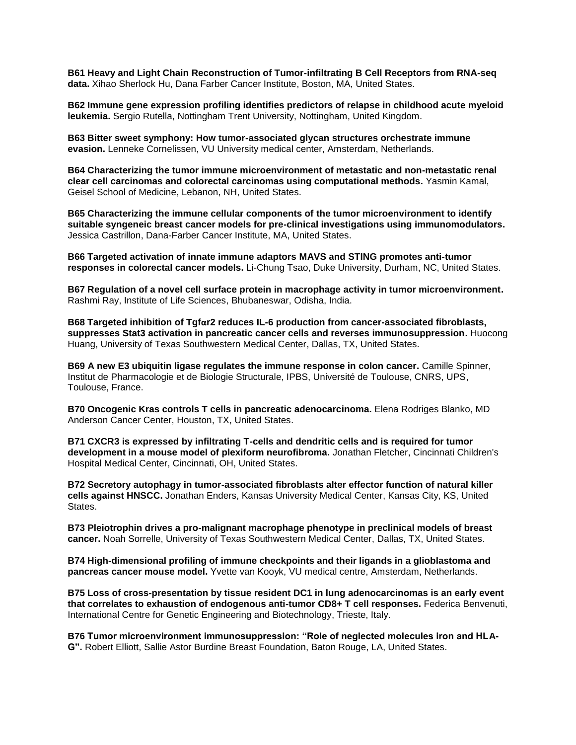**B61 Heavy and Light Chain Reconstruction of Tumor-infiltrating B Cell Receptors from RNA-seq data.** Xihao Sherlock Hu, Dana Farber Cancer Institute, Boston, MA, United States.

**B62 Immune gene expression profiling identifies predictors of relapse in childhood acute myeloid leukemia.** Sergio Rutella, Nottingham Trent University, Nottingham, United Kingdom.

**B63 Bitter sweet symphony: How tumor-associated glycan structures orchestrate immune evasion.** Lenneke Cornelissen, VU University medical center, Amsterdam, Netherlands.

**B64 Characterizing the tumor immune microenvironment of metastatic and non-metastatic renal clear cell carcinomas and colorectal carcinomas using computational methods.** Yasmin Kamal, Geisel School of Medicine, Lebanon, NH, United States.

**B65 Characterizing the immune cellular components of the tumor microenvironment to identify suitable syngeneic breast cancer models for pre-clinical investigations using immunomodulators.**  Jessica Castrillon, Dana-Farber Cancer Institute, MA, United States.

**B66 Targeted activation of innate immune adaptors MAVS and STING promotes anti-tumor responses in colorectal cancer models.** Li-Chung Tsao, Duke University, Durham, NC, United States.

**B67 Regulation of a novel cell surface protein in macrophage activity in tumor microenvironment.**  Rashmi Ray, Institute of Life Sciences, Bhubaneswar, Odisha, India.

**B68 Targeted inhibition of Tgfαr2 reduces IL-6 production from cancer-associated fibroblasts, suppresses Stat3 activation in pancreatic cancer cells and reverses immunosuppression.** Huocong Huang, University of Texas Southwestern Medical Center, Dallas, TX, United States.

**B69 A new E3 ubiquitin ligase regulates the immune response in colon cancer.** Camille Spinner, Institut de Pharmacologie et de Biologie Structurale, IPBS, Université de Toulouse, CNRS, UPS, Toulouse, France.

**B70 Oncogenic Kras controls T cells in pancreatic adenocarcinoma.** Elena Rodriges Blanko, MD Anderson Cancer Center, Houston, TX, United States.

**B71 CXCR3 is expressed by infiltrating T-cells and dendritic cells and is required for tumor development in a mouse model of plexiform neurofibroma.** Jonathan Fletcher, Cincinnati Children's Hospital Medical Center, Cincinnati, OH, United States.

**B72 Secretory autophagy in tumor-associated fibroblasts alter effector function of natural killer cells against HNSCC.** Jonathan Enders, Kansas University Medical Center, Kansas City, KS, United States.

**B73 Pleiotrophin drives a pro-malignant macrophage phenotype in preclinical models of breast cancer.** Noah Sorrelle, University of Texas Southwestern Medical Center, Dallas, TX, United States.

**B74 High-dimensional profiling of immune checkpoints and their ligands in a glioblastoma and pancreas cancer mouse model.** Yvette van Kooyk, VU medical centre, Amsterdam, Netherlands.

**B75 Loss of cross-presentation by tissue resident DC1 in lung adenocarcinomas is an early event that correlates to exhaustion of endogenous anti-tumor CD8+ T cell responses.** Federica Benvenuti, International Centre for Genetic Engineering and Biotechnology, Trieste, Italy.

**B76 Tumor microenvironment immunosuppression: "Role of neglected molecules iron and HLA-G".** Robert Elliott, Sallie Astor Burdine Breast Foundation, Baton Rouge, LA, United States.